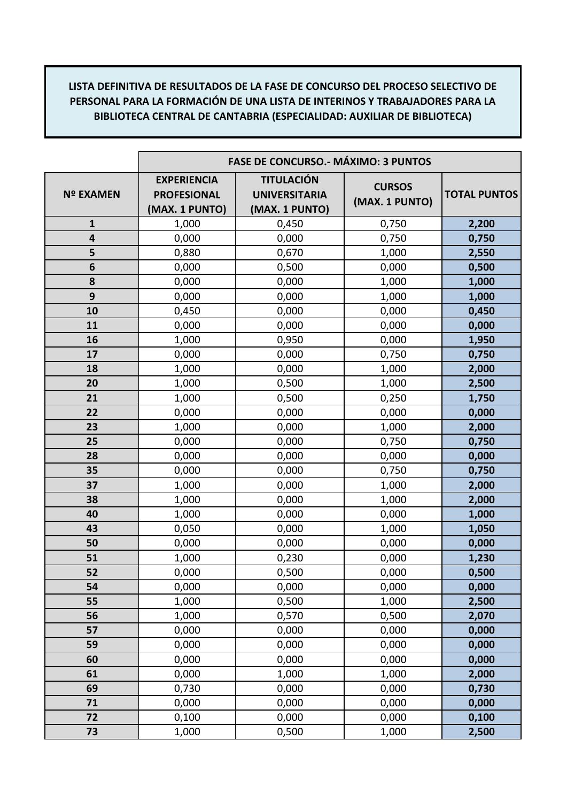|                  | <b>FASE DE CONCURSO.- MÁXIMO: 3 PUNTOS</b>                 |                                                             |                                 |                     |
|------------------|------------------------------------------------------------|-------------------------------------------------------------|---------------------------------|---------------------|
| <b>Nº EXAMEN</b> | <b>EXPERIENCIA</b><br><b>PROFESIONAL</b><br>(MAX. 1 PUNTO) | <b>TITULACIÓN</b><br><b>UNIVERSITARIA</b><br>(MAX. 1 PUNTO) | <b>CURSOS</b><br>(MAX. 1 PUNTO) | <b>TOTAL PUNTOS</b> |
| $\mathbf{1}$     | 1,000                                                      | 0,450                                                       | 0,750                           | 2,200               |
| 4                | 0,000                                                      | 0,000                                                       | 0,750                           | 0,750               |
| 5                | 0,880                                                      | 0,670                                                       | 1,000                           | 2,550               |
| 6                | 0,000                                                      | 0,500                                                       | 0,000                           | 0,500               |
| 8                | 0,000                                                      | 0,000                                                       | 1,000                           | 1,000               |
| 9                | 0,000                                                      | 0,000                                                       | 1,000                           | 1,000               |
| 10               | 0,450                                                      | 0,000                                                       | 0,000                           | 0,450               |
| 11               | 0,000                                                      | 0,000                                                       | 0,000                           | 0,000               |
| 16               | 1,000                                                      | 0,950                                                       | 0,000                           | 1,950               |
| 17               | 0,000                                                      | 0,000                                                       | 0,750                           | 0,750               |
| 18               | 1,000                                                      | 0,000                                                       | 1,000                           | 2,000               |
| 20               | 1,000                                                      | 0,500                                                       | 1,000                           | 2,500               |
| 21               | 1,000                                                      | 0,500                                                       | 0,250                           | 1,750               |
| 22               | 0,000                                                      | 0,000                                                       | 0,000                           | 0,000               |
| 23               | 1,000                                                      | 0,000                                                       | 1,000                           | 2,000               |
| 25               | 0,000                                                      | 0,000                                                       | 0,750                           | 0,750               |
| 28               | 0,000                                                      | 0,000                                                       | 0,000                           | 0,000               |
| 35               | 0,000                                                      | 0,000                                                       | 0,750                           | 0,750               |
| 37               | 1,000                                                      | 0,000                                                       | 1,000                           | 2,000               |
| 38               | 1,000                                                      | 0,000                                                       | 1,000                           | 2,000               |
| 40               | 1,000                                                      | 0,000                                                       | 0,000                           | 1,000               |
| 43               | 0,050                                                      | 0,000                                                       | 1,000                           | 1,050               |
| 50               | 0,000                                                      | 0,000                                                       | 0,000                           | 0,000               |
| 51               | 1,000                                                      | 0,230                                                       | 0,000                           | 1,230               |
| 52               | 0,000                                                      | 0,500                                                       | 0,000                           | 0,500               |
| 54               | 0,000                                                      | 0,000                                                       | 0,000                           | 0,000               |
| 55               | 1,000                                                      | 0,500                                                       | 1,000                           | 2,500               |
| 56               | 1,000                                                      | 0,570                                                       | 0,500                           | 2,070               |
| 57               | 0,000                                                      | 0,000                                                       | 0,000                           | 0,000               |
| 59               | 0,000                                                      | 0,000                                                       | 0,000                           | 0,000               |
| 60               | 0,000                                                      | 0,000                                                       | 0,000                           | 0,000               |
| 61               | 0,000                                                      | 1,000                                                       | 1,000                           | 2,000               |
| 69               | 0,730                                                      | 0,000                                                       | 0,000                           | 0,730               |
| 71               | 0,000                                                      | 0,000                                                       | 0,000                           | 0,000               |
| 72               | 0,100                                                      | 0,000                                                       | 0,000                           | 0,100               |
| 73               | 1,000                                                      | 0,500                                                       | 1,000                           | 2,500               |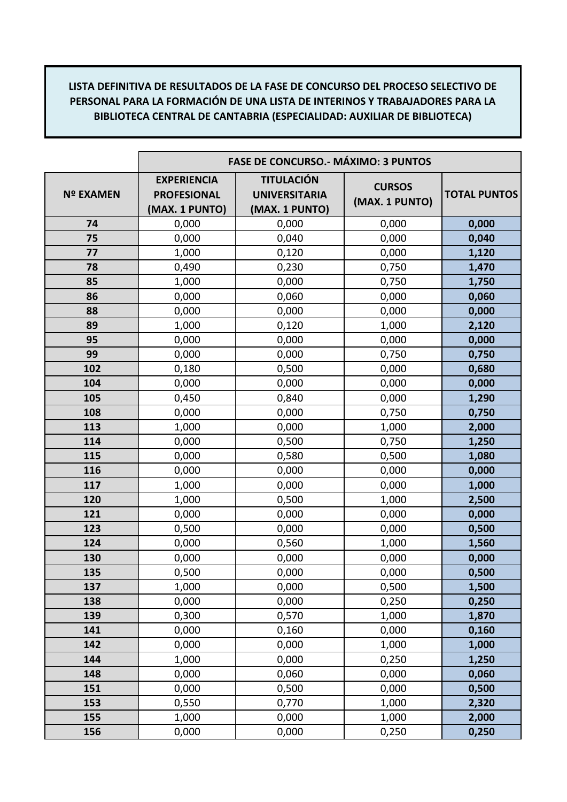|                  | <b>FASE DE CONCURSO.- MÁXIMO: 3 PUNTOS</b>                 |                                                             |                                 |                     |
|------------------|------------------------------------------------------------|-------------------------------------------------------------|---------------------------------|---------------------|
| <b>Nº EXAMEN</b> | <b>EXPERIENCIA</b><br><b>PROFESIONAL</b><br>(MAX. 1 PUNTO) | <b>TITULACIÓN</b><br><b>UNIVERSITARIA</b><br>(MAX. 1 PUNTO) | <b>CURSOS</b><br>(MAX. 1 PUNTO) | <b>TOTAL PUNTOS</b> |
| 74               | 0,000                                                      | 0,000                                                       | 0,000                           | 0,000               |
| 75               | 0,000                                                      | 0,040                                                       | 0,000                           | 0,040               |
| 77               | 1,000                                                      | 0,120                                                       | 0,000                           | 1,120               |
| 78               | 0,490                                                      | 0,230                                                       | 0,750                           | 1,470               |
| 85               | 1,000                                                      | 0,000                                                       | 0,750                           | 1,750               |
| 86               | 0,000                                                      | 0,060                                                       | 0,000                           | 0,060               |
| 88               | 0,000                                                      | 0,000                                                       | 0,000                           | 0,000               |
| 89               | 1,000                                                      | 0,120                                                       | 1,000                           | 2,120               |
| 95               | 0,000                                                      | 0,000                                                       | 0,000                           | 0,000               |
| 99               | 0,000                                                      | 0,000                                                       | 0,750                           | 0,750               |
| 102              | 0,180                                                      | 0,500                                                       | 0,000                           | 0,680               |
| 104              | 0,000                                                      | 0,000                                                       | 0,000                           | 0,000               |
| 105              | 0,450                                                      | 0,840                                                       | 0,000                           | 1,290               |
| 108              | 0,000                                                      | 0,000                                                       | 0,750                           | 0,750               |
| 113              | 1,000                                                      | 0,000                                                       | 1,000                           | 2,000               |
| 114              | 0,000                                                      | 0,500                                                       | 0,750                           | 1,250               |
| 115              | 0,000                                                      | 0,580                                                       | 0,500                           | 1,080               |
| 116              | 0,000                                                      | 0,000                                                       | 0,000                           | 0,000               |
| 117              | 1,000                                                      | 0,000                                                       | 0,000                           | 1,000               |
| 120              | 1,000                                                      | 0,500                                                       | 1,000                           | 2,500               |
| 121              | 0,000                                                      | 0,000                                                       | 0,000                           | 0,000               |
| 123              | 0,500                                                      | 0,000                                                       | 0,000                           | 0,500               |
| 124              | 0,000                                                      | 0,560                                                       | 1,000                           | 1,560               |
| 130              | 0,000                                                      | 0,000                                                       | 0,000                           | 0,000               |
| 135              | 0,500                                                      | 0,000                                                       | 0,000                           | 0,500               |
| 137              | 1,000                                                      | 0,000                                                       | 0,500                           | 1,500               |
| 138              | 0,000                                                      | 0,000                                                       | 0,250                           | 0,250               |
| 139              | 0,300                                                      | 0,570                                                       | 1,000                           | 1,870               |
| 141              | 0,000                                                      | 0,160                                                       | 0,000                           | 0,160               |
| 142              | 0,000                                                      | 0,000                                                       | 1,000                           | 1,000               |
| 144              | 1,000                                                      | 0,000                                                       | 0,250                           | 1,250               |
| 148              | 0,000                                                      | 0,060                                                       | 0,000                           | 0,060               |
| 151              | 0,000                                                      | 0,500                                                       | 0,000                           | 0,500               |
| 153              | 0,550                                                      | 0,770                                                       | 1,000                           | 2,320               |
| 155              | 1,000                                                      | 0,000                                                       | 1,000                           | 2,000               |
| 156              | 0,000                                                      | 0,000                                                       | 0,250                           | 0,250               |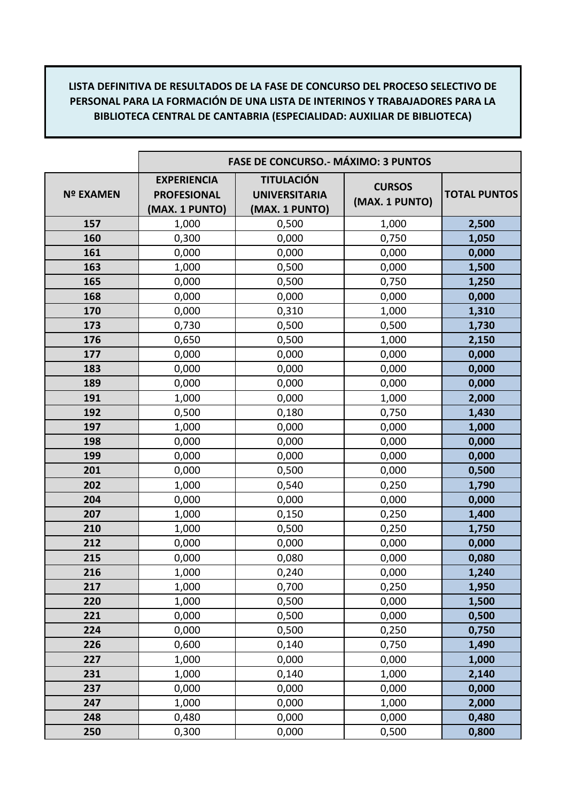|                  | <b>FASE DE CONCURSO.- MÁXIMO: 3 PUNTOS</b>                 |                                                             |                                 |                     |
|------------------|------------------------------------------------------------|-------------------------------------------------------------|---------------------------------|---------------------|
| <b>Nº EXAMEN</b> | <b>EXPERIENCIA</b><br><b>PROFESIONAL</b><br>(MAX. 1 PUNTO) | <b>TITULACIÓN</b><br><b>UNIVERSITARIA</b><br>(MAX. 1 PUNTO) | <b>CURSOS</b><br>(MAX. 1 PUNTO) | <b>TOTAL PUNTOS</b> |
| 157              | 1,000                                                      | 0,500                                                       | 1,000                           | 2,500               |
| 160              | 0,300                                                      | 0,000                                                       | 0,750                           | 1,050               |
| 161              | 0,000                                                      | 0,000                                                       | 0,000                           | 0,000               |
| 163              | 1,000                                                      | 0,500                                                       | 0,000                           | 1,500               |
| 165              | 0,000                                                      | 0,500                                                       | 0,750                           | 1,250               |
| 168              | 0,000                                                      | 0,000                                                       | 0,000                           | 0,000               |
| 170              | 0,000                                                      | 0,310                                                       | 1,000                           | 1,310               |
| 173              | 0,730                                                      | 0,500                                                       | 0,500                           | 1,730               |
| 176              | 0,650                                                      | 0,500                                                       | 1,000                           | 2,150               |
| 177              | 0,000                                                      | 0,000                                                       | 0,000                           | 0,000               |
| 183              | 0,000                                                      | 0,000                                                       | 0,000                           | 0,000               |
| 189              | 0,000                                                      | 0,000                                                       | 0,000                           | 0,000               |
| 191              | 1,000                                                      | 0,000                                                       | 1,000                           | 2,000               |
| 192              | 0,500                                                      | 0,180                                                       | 0,750                           | 1,430               |
| 197              | 1,000                                                      | 0,000                                                       | 0,000                           | 1,000               |
| 198              | 0,000                                                      | 0,000                                                       | 0,000                           | 0,000               |
| 199              | 0,000                                                      | 0,000                                                       | 0,000                           | 0,000               |
| 201              | 0,000                                                      | 0,500                                                       | 0,000                           | 0,500               |
| 202              | 1,000                                                      | 0,540                                                       | 0,250                           | 1,790               |
| 204              | 0,000                                                      | 0,000                                                       | 0,000                           | 0,000               |
| 207              | 1,000                                                      | 0,150                                                       | 0,250                           | 1,400               |
| 210              | 1,000                                                      | 0,500                                                       | 0,250                           | 1,750               |
| 212              | 0,000                                                      | 0,000                                                       | 0,000                           | 0,000               |
| 215              | 0,000                                                      | 0,080                                                       | 0,000                           | 0,080               |
| 216              | 1,000                                                      | 0,240                                                       | 0,000                           | 1,240               |
| 217              | 1,000                                                      | 0,700                                                       | 0,250                           | 1,950               |
| 220              | 1,000                                                      | 0,500                                                       | 0,000                           | 1,500               |
| 221              | 0,000                                                      | 0,500                                                       | 0,000                           | 0,500               |
| 224              | 0,000                                                      | 0,500                                                       | 0,250                           | 0,750               |
| 226              | 0,600                                                      | 0,140                                                       | 0,750                           | 1,490               |
| 227              | 1,000                                                      | 0,000                                                       | 0,000                           | 1,000               |
| 231              | 1,000                                                      | 0,140                                                       | 1,000                           | 2,140               |
| 237              | 0,000                                                      | 0,000                                                       | 0,000                           | 0,000               |
| 247              | 1,000                                                      | 0,000                                                       | 1,000                           | 2,000               |
| 248              | 0,480                                                      | 0,000                                                       | 0,000                           | 0,480               |
| 250              | 0,300                                                      | 0,000                                                       | 0,500                           | 0,800               |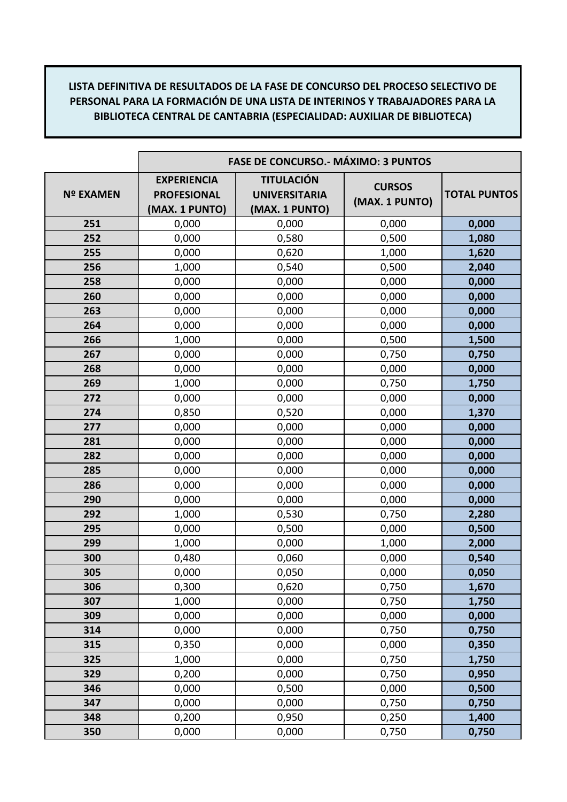|                  | <b>FASE DE CONCURSO.- MÁXIMO: 3 PUNTOS</b>                 |                                                             |                                 |                     |
|------------------|------------------------------------------------------------|-------------------------------------------------------------|---------------------------------|---------------------|
| <b>Nº EXAMEN</b> | <b>EXPERIENCIA</b><br><b>PROFESIONAL</b><br>(MAX. 1 PUNTO) | <b>TITULACIÓN</b><br><b>UNIVERSITARIA</b><br>(MAX. 1 PUNTO) | <b>CURSOS</b><br>(MAX. 1 PUNTO) | <b>TOTAL PUNTOS</b> |
| 251              | 0,000                                                      | 0,000                                                       | 0,000                           | 0,000               |
| 252              | 0,000                                                      | 0,580                                                       | 0,500                           | 1,080               |
| 255              | 0,000                                                      | 0,620                                                       | 1,000                           | 1,620               |
| 256              | 1,000                                                      | 0,540                                                       | 0,500                           | 2,040               |
| 258              | 0,000                                                      | 0,000                                                       | 0,000                           | 0,000               |
| 260              | 0,000                                                      | 0,000                                                       | 0,000                           | 0,000               |
| 263              | 0,000                                                      | 0,000                                                       | 0,000                           | 0,000               |
| 264              | 0,000                                                      | 0,000                                                       | 0,000                           | 0,000               |
| 266              | 1,000                                                      | 0,000                                                       | 0,500                           | 1,500               |
| 267              | 0,000                                                      | 0,000                                                       | 0,750                           | 0,750               |
| 268              | 0,000                                                      | 0,000                                                       | 0,000                           | 0,000               |
| 269              | 1,000                                                      | 0,000                                                       | 0,750                           | 1,750               |
| 272              | 0,000                                                      | 0,000                                                       | 0,000                           | 0,000               |
| 274              | 0,850                                                      | 0,520                                                       | 0,000                           | 1,370               |
| 277              | 0,000                                                      | 0,000                                                       | 0,000                           | 0,000               |
| 281              | 0,000                                                      | 0,000                                                       | 0,000                           | 0,000               |
| 282              | 0,000                                                      | 0,000                                                       | 0,000                           | 0,000               |
| 285              | 0,000                                                      | 0,000                                                       | 0,000                           | 0,000               |
| 286              | 0,000                                                      | 0,000                                                       | 0,000                           | 0,000               |
| 290              | 0,000                                                      | 0,000                                                       | 0,000                           | 0,000               |
| 292              | 1,000                                                      | 0,530                                                       | 0,750                           | 2,280               |
| 295              | 0,000                                                      | 0,500                                                       | 0,000                           | 0,500               |
| 299              | 1,000                                                      | 0,000                                                       | 1,000                           | 2,000               |
| 300              | 0,480                                                      | 0,060                                                       | 0,000                           | 0,540               |
| 305              | 0,000                                                      | 0,050                                                       | 0,000                           | 0,050               |
| 306              | 0,300                                                      | 0,620                                                       | 0,750                           | 1,670               |
| 307              | 1,000                                                      | 0,000                                                       | 0,750                           | 1,750               |
| 309              | 0,000                                                      | 0,000                                                       | 0,000                           | 0,000               |
| 314              | 0,000                                                      | 0,000                                                       | 0,750                           | 0,750               |
| 315              | 0,350                                                      | 0,000                                                       | 0,000                           | 0,350               |
| 325              | 1,000                                                      | 0,000                                                       | 0,750                           | 1,750               |
| 329              | 0,200                                                      | 0,000                                                       | 0,750                           | 0,950               |
| 346              | 0,000                                                      | 0,500                                                       | 0,000                           | 0,500               |
| 347              | 0,000                                                      | 0,000                                                       | 0,750                           | 0,750               |
| 348              | 0,200                                                      | 0,950                                                       | 0,250                           | 1,400               |
| 350              | 0,000                                                      | 0,000                                                       | 0,750                           | 0,750               |